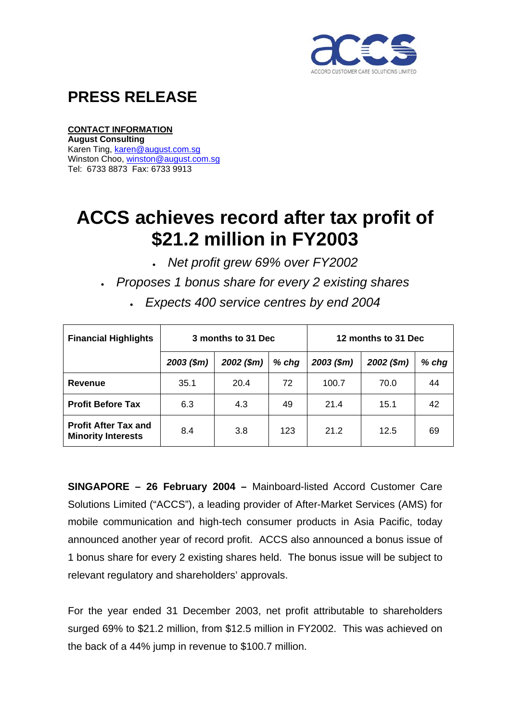

## **PRESS RELEASE**

### **CONTACT INFORMATION**

**August Consulting**  Karen Ting, [karen@august.com.sg](mailto:karen@august.com.sg) Winston Choo, [winston@august.com.sg](mailto:winston@august.com.sg) Tel: 6733 8873 Fax: 6733 9913

# **ACCS achieves record after tax profit of \$21.2 million in FY2003**

- *Net profit grew 69% over FY2002*
- *Proposes 1 bonus share for every 2 existing shares*

| <b>Financial Highlights</b>                              | 3 months to 31 Dec |              |         | 12 months to 31 Dec |              |         |
|----------------------------------------------------------|--------------------|--------------|---------|---------------------|--------------|---------|
|                                                          | $2003$ (\$m)       | $2002$ (\$m) | $%$ chg | $2003$ (\$m)        | $2002$ (\$m) | $%$ chg |
| <b>Revenue</b>                                           | 35.1               | 20.4         | 72      | 100.7               | 70.0         | 44      |
| <b>Profit Before Tax</b>                                 | 6.3                | 4.3          | 49      | 21.4                | 15.1         | 42      |
| <b>Profit After Tax and</b><br><b>Minority Interests</b> | 8.4                | 3.8          | 123     | 21.2                | 12.5         | 69      |

• *Expects 400 service centres by end 2004* 

**SINGAPORE – 26 February 2004 –** Mainboard-listed Accord Customer Care Solutions Limited ("ACCS"), a leading provider of After-Market Services (AMS) for mobile communication and high-tech consumer products in Asia Pacific, today announced another year of record profit. ACCS also announced a bonus issue of 1 bonus share for every 2 existing shares held. The bonus issue will be subject to relevant regulatory and shareholders' approvals.

For the year ended 31 December 2003, net profit attributable to shareholders surged 69% to \$21.2 million, from \$12.5 million in FY2002. This was achieved on the back of a 44% jump in revenue to \$100.7 million.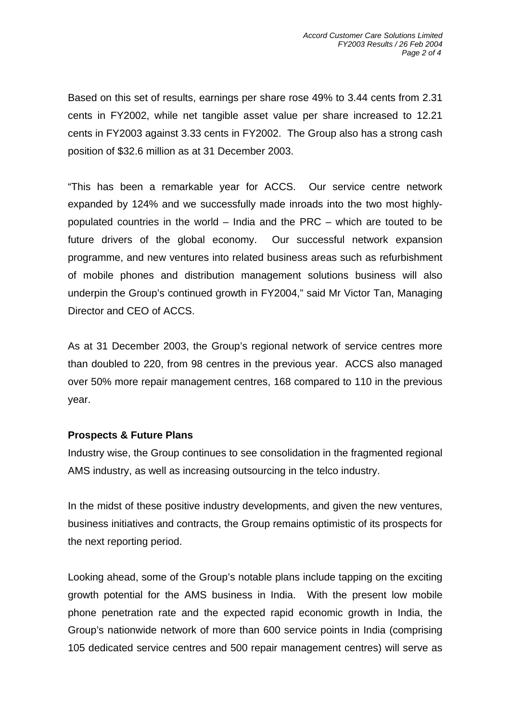Based on this set of results, earnings per share rose 49% to 3.44 cents from 2.31 cents in FY2002, while net tangible asset value per share increased to 12.21 cents in FY2003 against 3.33 cents in FY2002. The Group also has a strong cash position of \$32.6 million as at 31 December 2003.

"This has been a remarkable year for ACCS. Our service centre network expanded by 124% and we successfully made inroads into the two most highlypopulated countries in the world – India and the PRC – which are touted to be future drivers of the global economy. Our successful network expansion programme, and new ventures into related business areas such as refurbishment of mobile phones and distribution management solutions business will also underpin the Group's continued growth in FY2004," said Mr Victor Tan, Managing Director and CEO of ACCS.

As at 31 December 2003, the Group's regional network of service centres more than doubled to 220, from 98 centres in the previous year. ACCS also managed over 50% more repair management centres, 168 compared to 110 in the previous year.

## **Prospects & Future Plans**

Industry wise, the Group continues to see consolidation in the fragmented regional AMS industry, as well as increasing outsourcing in the telco industry.

In the midst of these positive industry developments, and given the new ventures, business initiatives and contracts, the Group remains optimistic of its prospects for the next reporting period.

Looking ahead, some of the Group's notable plans include tapping on the exciting growth potential for the AMS business in India.With the present low mobile phone penetration rate and the expected rapid economic growth in India, the Group's nationwide network of more than 600 service points in India (comprising 105 dedicated service centres and 500 repair management centres) will serve as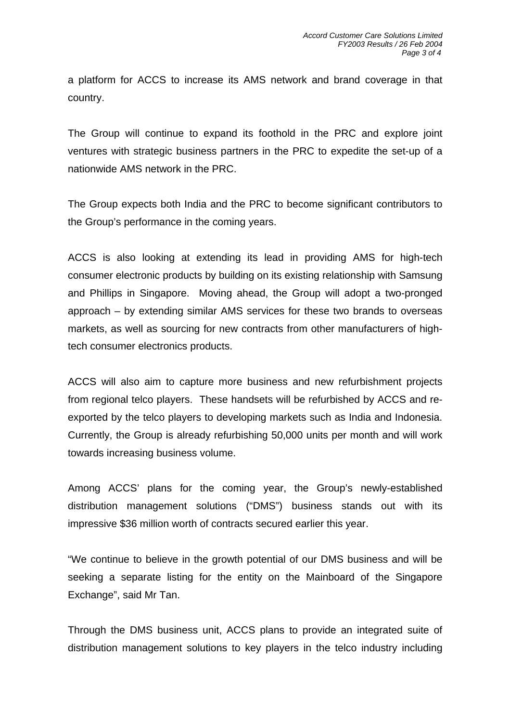a platform for ACCS to increase its AMS network and brand coverage in that country.

The Group will continue to expand its foothold in the PRC and explore joint ventures with strategic business partners in the PRC to expedite the set-up of a nationwide AMS network in the PRC.

The Group expects both India and the PRC to become significant contributors to the Group's performance in the coming years.

ACCS is also looking at extending its lead in providing AMS for high-tech consumer electronic products by building on its existing relationship with Samsung and Phillips in Singapore. Moving ahead, the Group will adopt a two-pronged approach – by extending similar AMS services for these two brands to overseas markets, as well as sourcing for new contracts from other manufacturers of hightech consumer electronics products.

ACCS will also aim to capture more business and new refurbishment projects from regional telco players. These handsets will be refurbished by ACCS and reexported by the telco players to developing markets such as India and Indonesia. Currently, the Group is already refurbishing 50,000 units per month and will work towards increasing business volume.

Among ACCS' plans for the coming year, the Group's newly-established distribution management solutions ("DMS") business stands out with its impressive \$36 million worth of contracts secured earlier this year.

"We continue to believe in the growth potential of our DMS business and will be seeking a separate listing for the entity on the Mainboard of the Singapore Exchange", said Mr Tan.

Through the DMS business unit, ACCS plans to provide an integrated suite of distribution management solutions to key players in the telco industry including